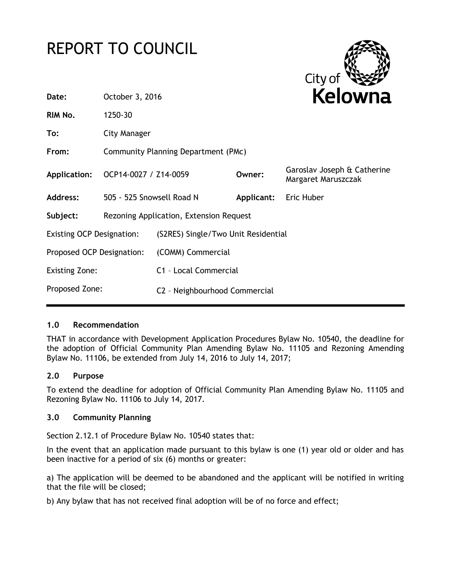# REPORT TO COUNCIL



| October 3, 2016                                |  | <b>Kelowna</b>        |                                                                                               |
|------------------------------------------------|--|-----------------------|-----------------------------------------------------------------------------------------------|
| 1250-30                                        |  |                       |                                                                                               |
| City Manager                                   |  |                       |                                                                                               |
| Community Planning Department (PMc)            |  |                       |                                                                                               |
|                                                |  | Owner:                | Garoslav Joseph & Catherine<br>Margaret Maruszczak                                            |
| 505 - 525 Snowsell Road N                      |  | <b>Applicant:</b>     | Eric Huber                                                                                    |
| Rezoning Application, Extension Request        |  |                       |                                                                                               |
| <b>Existing OCP Designation:</b>               |  |                       |                                                                                               |
| Proposed OCP Designation:<br>(COMM) Commercial |  |                       |                                                                                               |
| <b>Existing Zone:</b>                          |  |                       |                                                                                               |
| Proposed Zone:                                 |  |                       |                                                                                               |
|                                                |  | OCP14-0027 / Z14-0059 | (S2RES) Single/Two Unit Residential<br>C1 - Local Commercial<br>C2 - Neighbourhood Commercial |

## **1.0 Recommendation**

THAT in accordance with Development Application Procedures Bylaw No. 10540, the deadline for the adoption of Official Community Plan Amending Bylaw No. 11105 and Rezoning Amending Bylaw No. 11106, be extended from July 14, 2016 to July 14, 2017;

#### **2.0 Purpose**

To extend the deadline for adoption of Official Community Plan Amending Bylaw No. 11105 and Rezoning Bylaw No. 11106 to July 14, 2017.

#### **3.0 Community Planning**

Section 2.12.1 of Procedure Bylaw No. 10540 states that:

In the event that an application made pursuant to this bylaw is one (1) year old or older and has been inactive for a period of six (6) months or greater:

a) The application will be deemed to be abandoned and the applicant will be notified in writing that the file will be closed;

b) Any bylaw that has not received final adoption will be of no force and effect;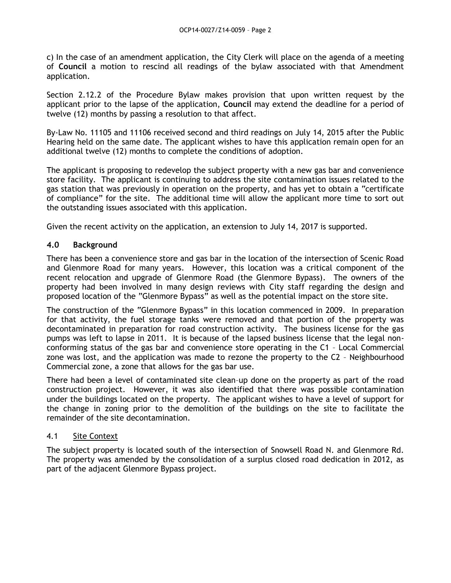c) In the case of an amendment application, the City Clerk will place on the agenda of a meeting of **Council** a motion to rescind all readings of the bylaw associated with that Amendment application.

Section 2.12.2 of the Procedure Bylaw makes provision that upon written request by the applicant prior to the lapse of the application, **Council** may extend the deadline for a period of twelve (12) months by passing a resolution to that affect.

By-Law No. 11105 and 11106 received second and third readings on July 14, 2015 after the Public Hearing held on the same date. The applicant wishes to have this application remain open for an additional twelve (12) months to complete the conditions of adoption.

The applicant is proposing to redevelop the subject property with a new gas bar and convenience store facility. The applicant is continuing to address the site contamination issues related to the gas station that was previously in operation on the property, and has yet to obtain a "certificate of compliance" for the site. The additional time will allow the applicant more time to sort out the outstanding issues associated with this application.

Given the recent activity on the application, an extension to July 14, 2017 is supported.

### **4.0 Background**

There has been a convenience store and gas bar in the location of the intersection of Scenic Road and Glenmore Road for many years. However, this location was a critical component of the recent relocation and upgrade of Glenmore Road (the Glenmore Bypass). The owners of the property had been involved in many design reviews with City staff regarding the design and proposed location of the "Glenmore Bypass" as well as the potential impact on the store site.

The construction of the "Glenmore Bypass" in this location commenced in 2009. In preparation for that activity, the fuel storage tanks were removed and that portion of the property was decontaminated in preparation for road construction activity. The business license for the gas pumps was left to lapse in 2011. It is because of the lapsed business license that the legal nonconforming status of the gas bar and convenience store operating in the C1 – Local Commercial zone was lost, and the application was made to rezone the property to the C2 – Neighbourhood Commercial zone, a zone that allows for the gas bar use.

There had been a level of contaminated site clean–up done on the property as part of the road construction project. However, it was also identified that there was possible contamination under the buildings located on the property. The applicant wishes to have a level of support for the change in zoning prior to the demolition of the buildings on the site to facilitate the remainder of the site decontamination.

#### 4.1 Site Context

The subject property is located south of the intersection of Snowsell Road N. and Glenmore Rd. The property was amended by the consolidation of a surplus closed road dedication in 2012, as part of the adjacent Glenmore Bypass project.